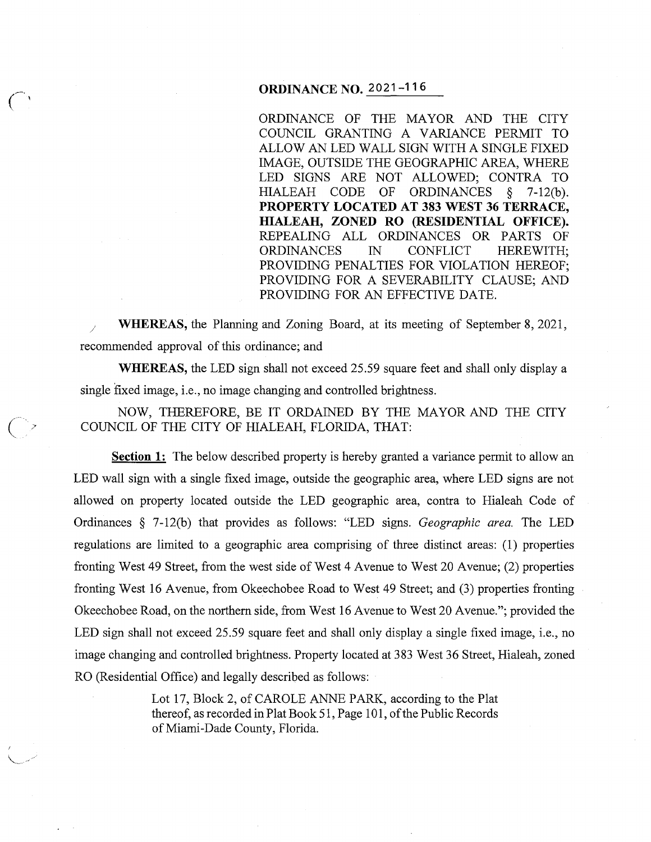### **ORDINANCE NO. 2021-116**

ORDINANCE OF THE MAYOR AND THE CITY COUNCIL GRANTING A VARIANCE PERMIT TO ALLOW AN LED WALL SIGN WITH A SINGLE FIXED IMAGE, OUTSIDE THE GEOGRAPHIC AREA, WHERE LED SIGNS ARE NOT ALLOWED; CONTRA TO HIALEAH CODE OF ORDINANCES § 7-12(b). **PROPERTY LOCATED AT 383 WEST 36 TERRACE, HIALEAH, ZONED RO (RESIDENTIAL OFFICE).**  REPEALING ALL ORDINANCES OR PARTS OF ORDINANCES IN CONFLICT HEREWITH; PROVIDING PENALTIES FOR VIOLATION HEREOF; PROVIDING FOR A SEVERABILITY CLAUSE; AND PROVIDING FOR AN EFFECTIVE DATE.

/ **WHEREAS,** the Planning and Zoning Board, at its meeting of September 8, 2021, recommended approval of this ordinance; and

**WHEREAS,** the LED sign shall not exceed 25.59 square feet and shall only display a single fixed image, i.e., no image changing and controlled brightness.

NOW, THEREFORE, BE IT ORDAINED BY THE MAYOR AND THE CITY COUNCIL OF THE CITY OF HIALEAH, FLORIDA, THAT:

 $\overline{C}$ 

**Section 1:** The below described property is hereby granted a variance permit to allow an LED wall sign with a single fixed image, outside the geographic area, where LED signs are not allowed on property located outside the LED geographic area, contra to Hialeah Code of Ordinances § 7-12(b) that provides as follows: "LED signs. *Geographic area.* The LED regulations are limited to a geographic area comprising of three distinct areas: (1) properties fronting West 49 Street, from the west side of West 4 Avenue to West 20 Avenue; (2) properties fronting West 16 Avenue, from Okeechobee Road to West 49 Street; and (3) properties fronting Okeechobee Road, on the northern side, from West 16 Avenue to West 20 Avenue."; provided the LED sign shall not exceed 25.59 square feet and shall only display a single fixed image, i.e., no image changing and controlled brightness. Property located at 383 West 36 Street, Hialeah, zoned RO (Residential Office) and legally described as follows:

> Lot 17, Block 2, of CAROLE ANNE PARK, according to the Plat thereof, as recorded in Plat Book 51, Page 101, of the Public Records of Miami-Dade County, Florida.